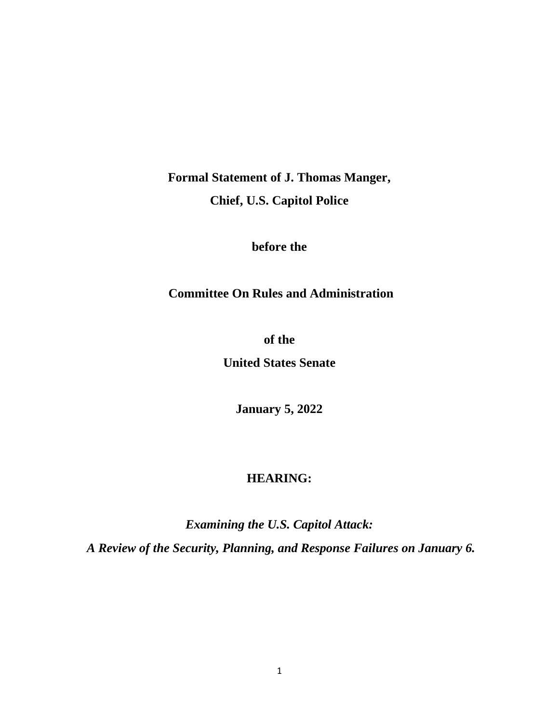**Formal Statement of J. Thomas Manger, Chief, U.S. Capitol Police**

**before the**

**Committee On Rules and Administration**

**of the United States Senate**

**January 5, 2022**

# **HEARING:**

*Examining the U.S. Capitol Attack: A Review of the Security, Planning, and Response Failures on January 6.*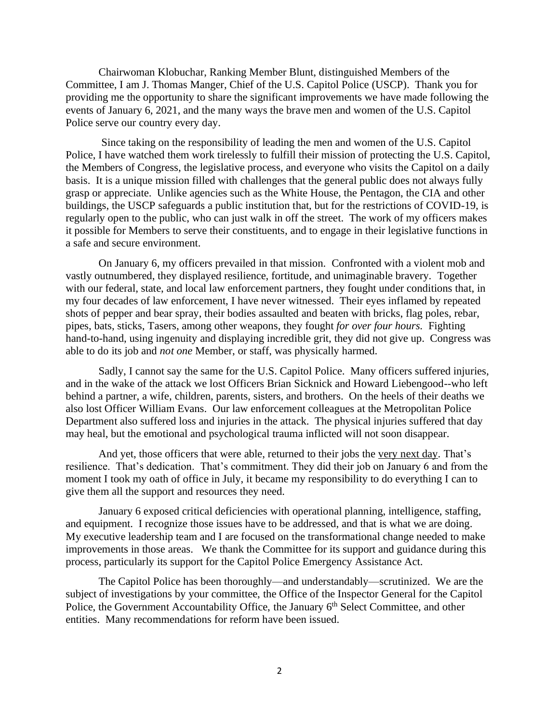Chairwoman Klobuchar, Ranking Member Blunt, distinguished Members of the Committee, I am J. Thomas Manger, Chief of the U.S. Capitol Police (USCP). Thank you for providing me the opportunity to share the significant improvements we have made following the events of January 6, 2021, and the many ways the brave men and women of the U.S. Capitol Police serve our country every day.

Since taking on the responsibility of leading the men and women of the U.S. Capitol Police, I have watched them work tirelessly to fulfill their mission of protecting the U.S. Capitol, the Members of Congress, the legislative process, and everyone who visits the Capitol on a daily basis. It is a unique mission filled with challenges that the general public does not always fully grasp or appreciate. Unlike agencies such as the White House, the Pentagon, the CIA and other buildings, the USCP safeguards a public institution that, but for the restrictions of COVID-19, is regularly open to the public, who can just walk in off the street. The work of my officers makes it possible for Members to serve their constituents, and to engage in their legislative functions in a safe and secure environment.

On January 6, my officers prevailed in that mission. Confronted with a violent mob and vastly outnumbered, they displayed resilience, fortitude, and unimaginable bravery. Together with our federal, state, and local law enforcement partners, they fought under conditions that, in my four decades of law enforcement, I have never witnessed. Their eyes inflamed by repeated shots of pepper and bear spray, their bodies assaulted and beaten with bricks, flag poles, rebar, pipes, bats, sticks, Tasers, among other weapons, they fought *for over four hours.* Fighting hand-to-hand, using ingenuity and displaying incredible grit, they did not give up. Congress was able to do its job and *not one* Member, or staff, was physically harmed.

Sadly, I cannot say the same for the U.S. Capitol Police. Many officers suffered injuries, and in the wake of the attack we lost Officers Brian Sicknick and Howard Liebengood--who left behind a partner, a wife, children, parents, sisters, and brothers. On the heels of their deaths we also lost Officer William Evans. Our law enforcement colleagues at the Metropolitan Police Department also suffered loss and injuries in the attack. The physical injuries suffered that day may heal, but the emotional and psychological trauma inflicted will not soon disappear.

And yet, those officers that were able, returned to their jobs the very next day. That's resilience. That's dedication. That's commitment. They did their job on January 6 and from the moment I took my oath of office in July, it became my responsibility to do everything I can to give them all the support and resources they need.

January 6 exposed critical deficiencies with operational planning, intelligence, staffing, and equipment. I recognize those issues have to be addressed, and that is what we are doing. My executive leadership team and I are focused on the transformational change needed to make improvements in those areas. We thank the Committee for its support and guidance during this process, particularly its support for the Capitol Police Emergency Assistance Act.

The Capitol Police has been thoroughly—and understandably—scrutinized. We are the subject of investigations by your committee, the Office of the Inspector General for the Capitol Police, the Government Accountability Office, the January 6<sup>th</sup> Select Committee, and other entities. Many recommendations for reform have been issued.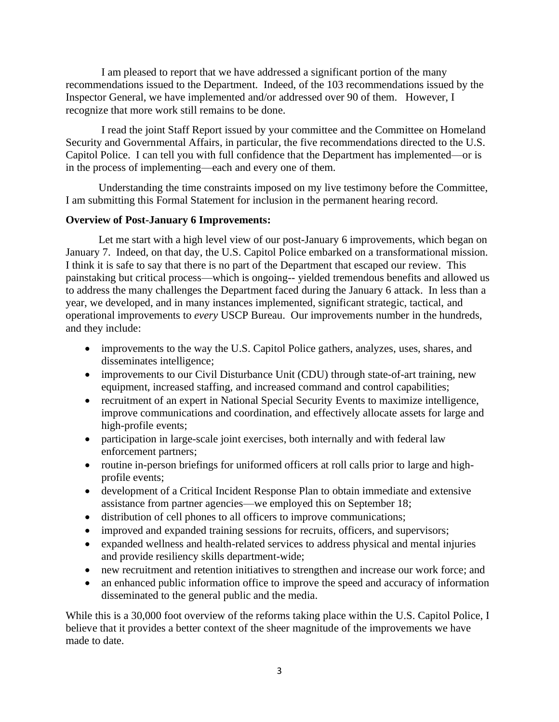I am pleased to report that we have addressed a significant portion of the many recommendations issued to the Department. Indeed, of the 103 recommendations issued by the Inspector General, we have implemented and/or addressed over 90 of them. However, I recognize that more work still remains to be done.

I read the joint Staff Report issued by your committee and the Committee on Homeland Security and Governmental Affairs, in particular, the five recommendations directed to the U.S. Capitol Police. I can tell you with full confidence that the Department has implemented—or is in the process of implementing—each and every one of them.

Understanding the time constraints imposed on my live testimony before the Committee, I am submitting this Formal Statement for inclusion in the permanent hearing record.

# **Overview of Post-January 6 Improvements:**

Let me start with a high level view of our post-January 6 improvements, which began on January 7. Indeed, on that day, the U.S. Capitol Police embarked on a transformational mission. I think it is safe to say that there is no part of the Department that escaped our review. This painstaking but critical process—which is ongoing-- yielded tremendous benefits and allowed us to address the many challenges the Department faced during the January 6 attack. In less than a year, we developed, and in many instances implemented, significant strategic, tactical, and operational improvements to *every* USCP Bureau. Our improvements number in the hundreds, and they include:

- improvements to the way the U.S. Capitol Police gathers, analyzes, uses, shares, and disseminates intelligence;
- improvements to our Civil Disturbance Unit (CDU) through state-of-art training, new equipment, increased staffing, and increased command and control capabilities;
- recruitment of an expert in National Special Security Events to maximize intelligence, improve communications and coordination, and effectively allocate assets for large and high-profile events;
- participation in large-scale joint exercises, both internally and with federal law enforcement partners;
- routine in-person briefings for uniformed officers at roll calls prior to large and highprofile events;
- development of a Critical Incident Response Plan to obtain immediate and extensive assistance from partner agencies—we employed this on September 18;
- distribution of cell phones to all officers to improve communications;
- improved and expanded training sessions for recruits, officers, and supervisors;
- expanded wellness and health-related services to address physical and mental injuries and provide resiliency skills department-wide;
- new recruitment and retention initiatives to strengthen and increase our work force; and
- an enhanced public information office to improve the speed and accuracy of information disseminated to the general public and the media.

While this is a 30,000 foot overview of the reforms taking place within the U.S. Capitol Police, I believe that it provides a better context of the sheer magnitude of the improvements we have made to date.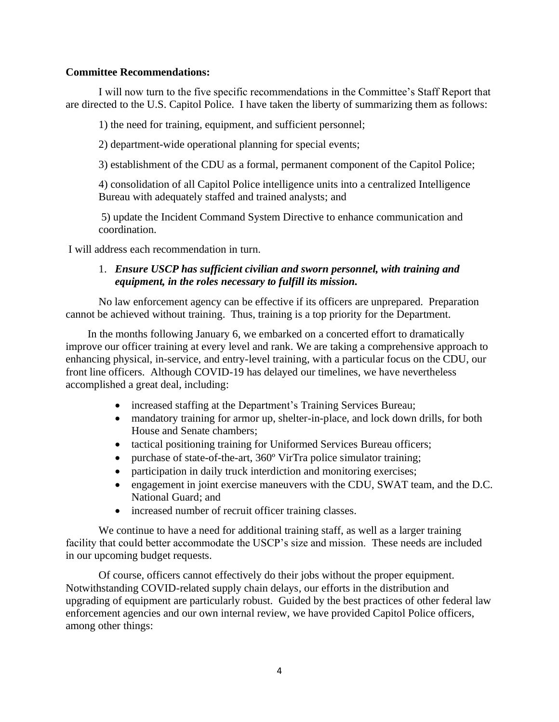### **Committee Recommendations:**

I will now turn to the five specific recommendations in the Committee's Staff Report that are directed to the U.S. Capitol Police. I have taken the liberty of summarizing them as follows:

1) the need for training, equipment, and sufficient personnel;

2) department-wide operational planning for special events;

3) establishment of the CDU as a formal, permanent component of the Capitol Police;

4) consolidation of all Capitol Police intelligence units into a centralized Intelligence Bureau with adequately staffed and trained analysts; and

5) update the Incident Command System Directive to enhance communication and coordination.

I will address each recommendation in turn.

## 1. *Ensure USCP has sufficient civilian and sworn personnel, with training and equipment, in the roles necessary to fulfill its mission.*

No law enforcement agency can be effective if its officers are unprepared. Preparation cannot be achieved without training. Thus, training is a top priority for the Department.

In the months following January 6, we embarked on a concerted effort to dramatically improve our officer training at every level and rank. We are taking a comprehensive approach to enhancing physical, in-service, and entry-level training, with a particular focus on the CDU, our front line officers. Although COVID-19 has delayed our timelines, we have nevertheless accomplished a great deal, including:

- increased staffing at the Department's Training Services Bureau;
- mandatory training for armor up, shelter-in-place, and lock down drills, for both House and Senate chambers;
- tactical positioning training for Uniformed Services Bureau officers;
- purchase of state-of-the-art, 360° VirTra police simulator training;
- participation in daily truck interdiction and monitoring exercises;
- engagement in joint exercise maneuvers with the CDU, SWAT team, and the D.C. National Guard; and
- increased number of recruit officer training classes.

We continue to have a need for additional training staff, as well as a larger training facility that could better accommodate the USCP's size and mission. These needs are included in our upcoming budget requests.

Of course, officers cannot effectively do their jobs without the proper equipment. Notwithstanding COVID-related supply chain delays, our efforts in the distribution and upgrading of equipment are particularly robust. Guided by the best practices of other federal law enforcement agencies and our own internal review, we have provided Capitol Police officers, among other things: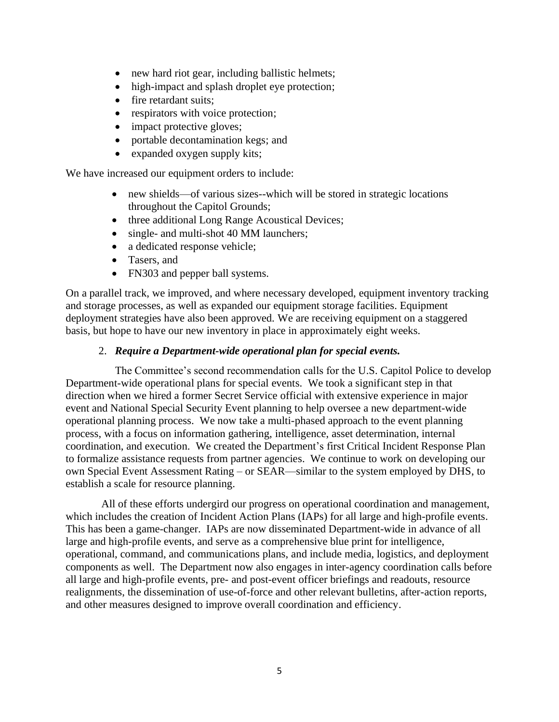- new hard riot gear, including ballistic helmets;
- high-impact and splash droplet eye protection;
- fire retardant suits;
- respirators with voice protection;
- impact protective gloves;
- portable decontamination kegs; and
- expanded oxygen supply kits;

We have increased our equipment orders to include:

- new shields—of various sizes--which will be stored in strategic locations throughout the Capitol Grounds;
- three additional Long Range Acoustical Devices;
- single- and multi-shot 40 MM launchers;
- a dedicated response vehicle;
- Tasers, and
- FN303 and pepper ball systems.

On a parallel track, we improved, and where necessary developed, equipment inventory tracking and storage processes, as well as expanded our equipment storage facilities. Equipment deployment strategies have also been approved. We are receiving equipment on a staggered basis, but hope to have our new inventory in place in approximately eight weeks.

# 2. *Require a Department-wide operational plan for special events.*

The Committee's second recommendation calls for the U.S. Capitol Police to develop Department-wide operational plans for special events. We took a significant step in that direction when we hired a former Secret Service official with extensive experience in major event and National Special Security Event planning to help oversee a new department-wide operational planning process. We now take a multi-phased approach to the event planning process, with a focus on information gathering, intelligence, asset determination, internal coordination, and execution. We created the Department's first Critical Incident Response Plan to formalize assistance requests from partner agencies. We continue to work on developing our own Special Event Assessment Rating – or SEAR—similar to the system employed by DHS, to establish a scale for resource planning.

All of these efforts undergird our progress on operational coordination and management, which includes the creation of Incident Action Plans (IAPs) for all large and high-profile events. This has been a game-changer. IAPs are now disseminated Department-wide in advance of all large and high-profile events, and serve as a comprehensive blue print for intelligence, operational, command, and communications plans, and include media, logistics, and deployment components as well. The Department now also engages in inter-agency coordination calls before all large and high-profile events, pre- and post-event officer briefings and readouts, resource realignments, the dissemination of use-of-force and other relevant bulletins, after-action reports, and other measures designed to improve overall coordination and efficiency.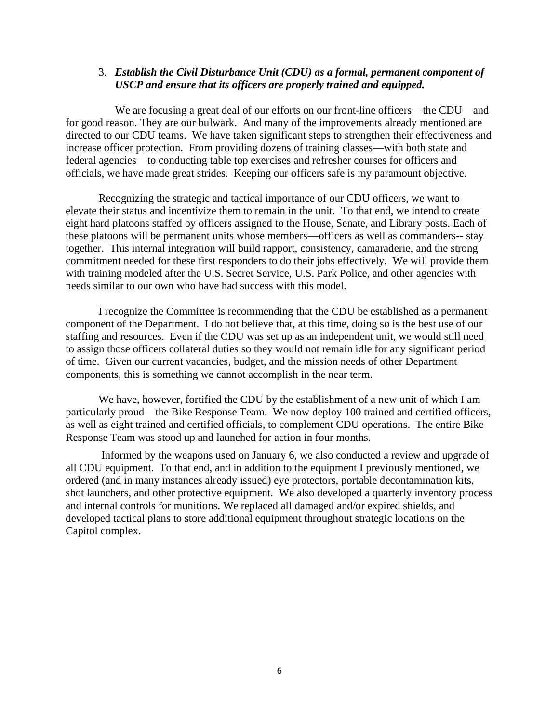### 3. *Establish the Civil Disturbance Unit (CDU) as a formal, permanent component of USCP and ensure that its officers are properly trained and equipped.*

We are focusing a great deal of our efforts on our front-line officers—the CDU—and for good reason. They are our bulwark. And many of the improvements already mentioned are directed to our CDU teams. We have taken significant steps to strengthen their effectiveness and increase officer protection. From providing dozens of training classes—with both state and federal agencies—to conducting table top exercises and refresher courses for officers and officials, we have made great strides. Keeping our officers safe is my paramount objective.

Recognizing the strategic and tactical importance of our CDU officers, we want to elevate their status and incentivize them to remain in the unit. To that end, we intend to create eight hard platoons staffed by officers assigned to the House, Senate, and Library posts. Each of these platoons will be permanent units whose members—officers as well as commanders-- stay together. This internal integration will build rapport, consistency, camaraderie, and the strong commitment needed for these first responders to do their jobs effectively. We will provide them with training modeled after the U.S. Secret Service, U.S. Park Police, and other agencies with needs similar to our own who have had success with this model.

I recognize the Committee is recommending that the CDU be established as a permanent component of the Department. I do not believe that, at this time, doing so is the best use of our staffing and resources. Even if the CDU was set up as an independent unit, we would still need to assign those officers collateral duties so they would not remain idle for any significant period of time. Given our current vacancies, budget, and the mission needs of other Department components, this is something we cannot accomplish in the near term.

We have, however, fortified the CDU by the establishment of a new unit of which I am particularly proud—the Bike Response Team. We now deploy 100 trained and certified officers, as well as eight trained and certified officials, to complement CDU operations. The entire Bike Response Team was stood up and launched for action in four months.

Informed by the weapons used on January 6, we also conducted a review and upgrade of all CDU equipment. To that end, and in addition to the equipment I previously mentioned, we ordered (and in many instances already issued) eye protectors, portable decontamination kits, shot launchers, and other protective equipment. We also developed a quarterly inventory process and internal controls for munitions. We replaced all damaged and/or expired shields, and developed tactical plans to store additional equipment throughout strategic locations on the Capitol complex.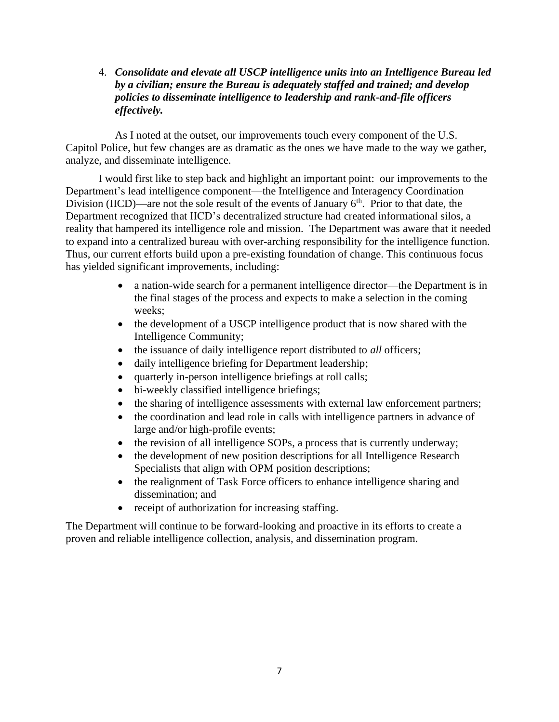4. *Consolidate and elevate all USCP intelligence units into an Intelligence Bureau led by a civilian; ensure the Bureau is adequately staffed and trained; and develop policies to disseminate intelligence to leadership and rank-and-file officers effectively.* 

As I noted at the outset, our improvements touch every component of the U.S. Capitol Police, but few changes are as dramatic as the ones we have made to the way we gather, analyze, and disseminate intelligence.

I would first like to step back and highlight an important point: our improvements to the Department's lead intelligence component—the Intelligence and Interagency Coordination Division (IICD)—are not the sole result of the events of January  $6<sup>th</sup>$ . Prior to that date, the Department recognized that IICD's decentralized structure had created informational silos, a reality that hampered its intelligence role and mission. The Department was aware that it needed to expand into a centralized bureau with over-arching responsibility for the intelligence function. Thus, our current efforts build upon a pre-existing foundation of change. This continuous focus has yielded significant improvements, including:

- a nation-wide search for a permanent intelligence director—the Department is in the final stages of the process and expects to make a selection in the coming weeks;
- the development of a USCP intelligence product that is now shared with the Intelligence Community;
- the issuance of daily intelligence report distributed to *all* officers;
- daily intelligence briefing for Department leadership;
- quarterly in-person intelligence briefings at roll calls;
- bi-weekly classified intelligence briefings;
- the sharing of intelligence assessments with external law enforcement partners;
- the coordination and lead role in calls with intelligence partners in advance of large and/or high-profile events;
- the revision of all intelligence SOPs, a process that is currently underway;
- the development of new position descriptions for all Intelligence Research Specialists that align with OPM position descriptions;
- the realignment of Task Force officers to enhance intelligence sharing and dissemination; and
- receipt of authorization for increasing staffing.

The Department will continue to be forward-looking and proactive in its efforts to create a proven and reliable intelligence collection, analysis, and dissemination program.